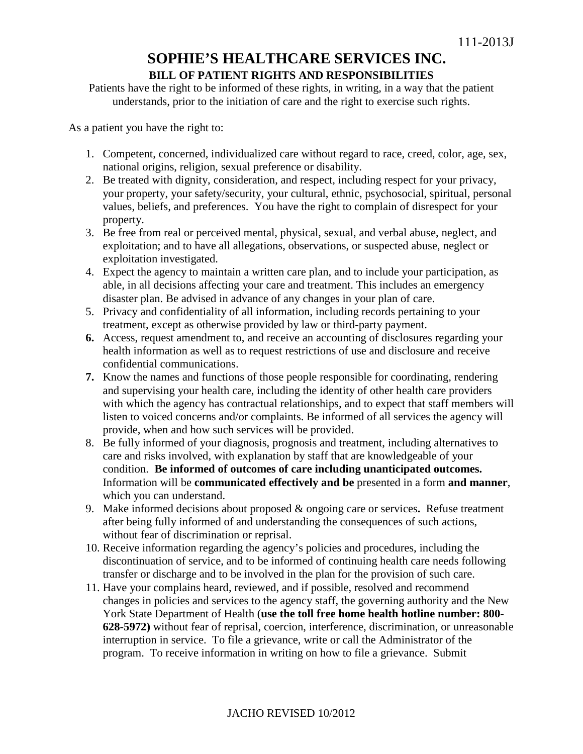## **SOPHIE'S HEALTHCARE SERVICES INC. BILL OF PATIENT RIGHTS AND RESPONSIBILITIES**

Patients have the right to be informed of these rights, in writing, in a way that the patient understands, prior to the initiation of care and the right to exercise such rights.

As a patient you have the right to:

- 1. Competent, concerned, individualized care without regard to race, creed, color, age, sex, national origins, religion, sexual preference or disability.
- 2. Be treated with dignity, consideration, and respect, including respect for your privacy, your property, your safety/security, your cultural, ethnic, psychosocial, spiritual, personal values, beliefs, and preferences. You have the right to complain of disrespect for your property.
- 3. Be free from real or perceived mental, physical, sexual, and verbal abuse, neglect, and exploitation; and to have all allegations, observations, or suspected abuse, neglect or exploitation investigated.
- 4. Expect the agency to maintain a written care plan, and to include your participation, as able, in all decisions affecting your care and treatment. This includes an emergency disaster plan. Be advised in advance of any changes in your plan of care.
- 5. Privacy and confidentiality of all information, including records pertaining to your treatment, except as otherwise provided by law or third-party payment.
- **6.** Access, request amendment to, and receive an accounting of disclosures regarding your health information as well as to request restrictions of use and disclosure and receive confidential communications.
- **7.** Know the names and functions of those people responsible for coordinating, rendering and supervising your health care, including the identity of other health care providers with which the agency has contractual relationships, and to expect that staff members will listen to voiced concerns and/or complaints. Be informed of all services the agency will provide, when and how such services will be provided.
- 8. Be fully informed of your diagnosis, prognosis and treatment, including alternatives to care and risks involved, with explanation by staff that are knowledgeable of your condition. **Be informed of outcomes of care including unanticipated outcomes.** Information will be **communicated effectively and be** presented in a form **and manner**, which you can understand.
- 9. Make informed decisions about proposed & ongoing care or services**.** Refuse treatment after being fully informed of and understanding the consequences of such actions, without fear of discrimination or reprisal.
- 10. Receive information regarding the agency's policies and procedures, including the discontinuation of service, and to be informed of continuing health care needs following transfer or discharge and to be involved in the plan for the provision of such care.
- 11. Have your complains heard, reviewed, and if possible, resolved and recommend changes in policies and services to the agency staff, the governing authority and the New York State Department of Health (**use the toll free home health hotline number: 800- 628-5972)** without fear of reprisal, coercion, interference, discrimination, or unreasonable interruption in service. To file a grievance, write or call the Administrator of the program. To receive information in writing on how to file a grievance. Submit